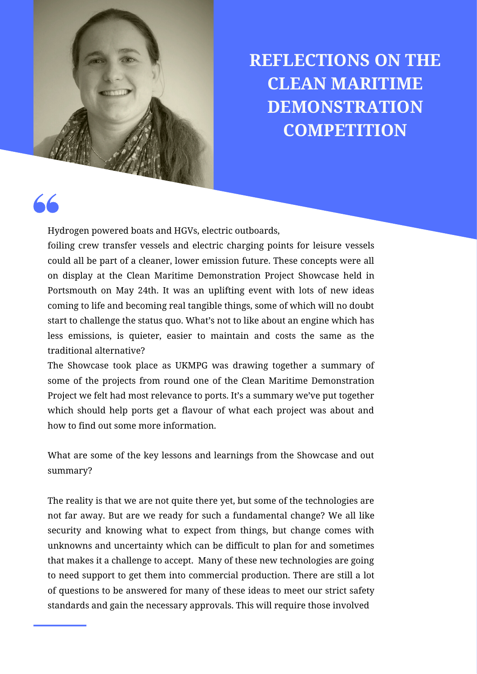

**REFLECTIONS ON THE CLEAN MARITIME DEMONSTRATION COMPETITION**

Hydrogen powered boats and HGVs, electric outboards,

foiling crew transfer vessels and electric charging points for leisure vessels could all be part of a cleaner, lower emission future. These concepts were all on display at the Clean Maritime Demonstration Project Showcase held in Portsmouth on May 24th. It was an uplifting event with lots of new ideas coming to life and becoming real tangible things, some of which will no doubt start to challenge the status quo. What's not to like about an engine which has less emissions, is quieter, easier to maintain and costs the same as the traditional alternative?

The Showcase took place as UKMPG was drawing together a summary of some of the projects from round one of the Clean Maritime Demonstration Project we felt had most relevance to ports. It's a [summary](https://ukmajorports.org.uk/projects-progress-and-lessons-learnt/) we've put together which should help ports get a flavour of what each project was about and how to find out some more information.

What are some of the key lessons and learnings from the Showcase and out summary?

The reality is that we are not quite there yet, but some of the technologies are not far away. But are we ready for such a fundamental change? We all like security and knowing what to expect from things, but change comes with unknowns and uncertainty which can be difficult to plan for and sometimes that makes it a challenge to accept. Many of these new technologies are going to need support to get them into commercial production. There are still a lot of questions to be answered for many of these ideas to meet our strict safety standards and gain the necessary approvals. This will require those involved